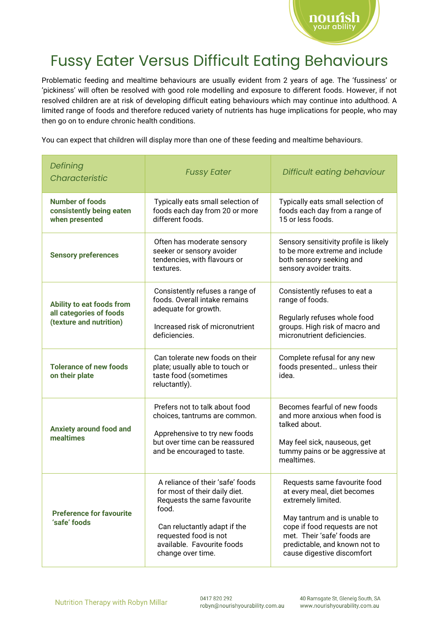

## Fussy Eater Versus Difficult Eating Behaviours

Problematic feeding and mealtime behaviours are usually evident from 2 years of age. The 'fussiness' or 'pickiness' will often be resolved with good role modelling and exposure to different foods. However, if not resolved children are at risk of developing difficult eating behaviours which may continue into adulthood. A limited range of foods and therefore reduced variety of nutrients has huge implications for people, who may then go on to endure chronic health conditions.

You can expect that children will display more than one of these feeding and mealtime behaviours.

| Defining<br>Characteristic                                                      | <b>Fussy Eater</b>                                                                                                                                                                                                    | Difficult eating behaviour                                                                                                                                                                                                                       |
|---------------------------------------------------------------------------------|-----------------------------------------------------------------------------------------------------------------------------------------------------------------------------------------------------------------------|--------------------------------------------------------------------------------------------------------------------------------------------------------------------------------------------------------------------------------------------------|
| <b>Number of foods</b><br>consistently being eaten<br>when presented            | Typically eats small selection of<br>foods each day from 20 or more<br>different foods.                                                                                                                               | Typically eats small selection of<br>foods each day from a range of<br>15 or less foods.                                                                                                                                                         |
| <b>Sensory preferences</b>                                                      | Often has moderate sensory<br>seeker or sensory avoider<br>tendencies, with flavours or<br>textures.                                                                                                                  | Sensory sensitivity profile is likely<br>to be more extreme and include<br>both sensory seeking and<br>sensory avoider traits.                                                                                                                   |
| Ability to eat foods from<br>all categories of foods<br>(texture and nutrition) | Consistently refuses a range of<br>foods. Overall intake remains<br>adequate for growth.<br>Increased risk of micronutrient<br>deficiencies.                                                                          | Consistently refuses to eat a<br>range of foods.<br>Regularly refuses whole food<br>groups. High risk of macro and<br>micronutrient deficiencies.                                                                                                |
| <b>Tolerance of new foods</b><br>on their plate                                 | Can tolerate new foods on their<br>plate; usually able to touch or<br>taste food (sometimes<br>reluctantly).                                                                                                          | Complete refusal for any new<br>foods presented unless their<br>idea.                                                                                                                                                                            |
| <b>Anxiety around food and</b><br>mealtimes                                     | Prefers not to talk about food<br>choices, tantrums are common.<br>Apprehensive to try new foods<br>but over time can be reassured<br>and be encouraged to taste.                                                     | Becomes fearful of new foods<br>and more anxious when food is<br>talked about.<br>May feel sick, nauseous, get<br>tummy pains or be aggressive at<br>mealtimes.                                                                                  |
| <b>Preference for favourite</b><br>'safe' foods                                 | A reliance of their 'safe' foods<br>for most of their daily diet.<br>Requests the same favourite<br>food.<br>Can reluctantly adapt if the<br>requested food is not<br>available. Favourite foods<br>change over time. | Requests same favourite food<br>at every meal, diet becomes<br>extremely limited.<br>May tantrum and is unable to<br>cope if food requests are not<br>met. Their 'safe' foods are<br>predictable, and known not to<br>cause digestive discomfort |